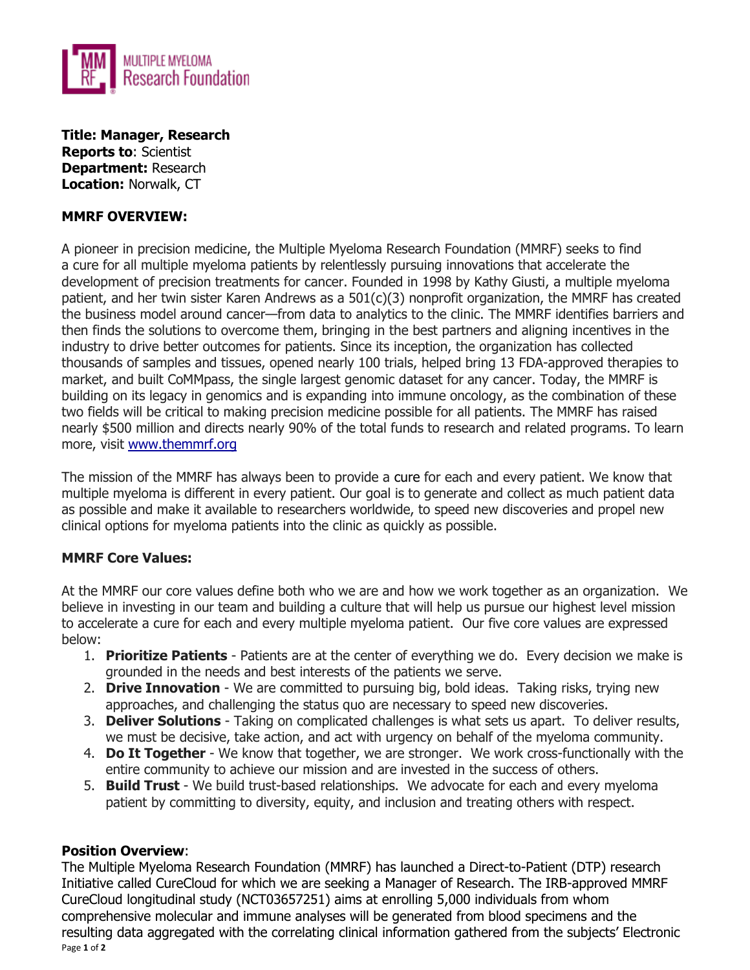

**Title: Manager, Research Reports to**: Scientist **Department:** Research **Location:** Norwalk, CT

### **MMRF OVERVIEW:**

A pioneer in precision medicine, the Multiple Myeloma Research Foundation (MMRF) seeks to find a cure for all multiple myeloma patients by relentlessly pursuing innovations that accelerate the development of precision treatments for cancer. Founded in 1998 by Kathy Giusti, a multiple myeloma patient, and her twin sister Karen Andrews as a 501(c)(3) nonprofit organization, the MMRF has created the business model around cancer—from data to analytics to the clinic. The MMRF identifies barriers and then finds the solutions to overcome them, bringing in the best partners and aligning incentives in the industry to drive better outcomes for patients. Since its inception, the organization has collected thousands of samples and tissues, opened nearly 100 trials, helped bring 13 FDA-approved therapies to market, and built CoMMpass, the single largest genomic dataset for any cancer. Today, the MMRF is building on its legacy in genomics and is expanding into immune oncology, as the combination of these two fields will be critical to making precision medicine possible for all patients. The MMRF has raised nearly \$500 million and directs nearly 90% of the total funds to research and related programs. To learn more, visit [www.themmrf.org](http://www.themmrf.org/)

The mission of the MMRF has always been to provide a cure for each and every patient. We know that multiple myeloma is different in every patient. Our goal is to generate and collect as much patient data as possible and make it available to researchers worldwide, to speed new discoveries and propel new clinical options for myeloma patients into the clinic as quickly as possible.

# **MMRF Core Values:**

At the MMRF our core values define both who we are and how we work together as an organization. We believe in investing in our team and building a culture that will help us pursue our highest level mission to accelerate a cure for each and every multiple myeloma patient. Our five core values are expressed below:

- 1. **Prioritize Patients**  Patients are at the center of everything we do. Every decision we make is grounded in the needs and best interests of the patients we serve.
- 2. **Drive Innovation**  We are committed to pursuing big, bold ideas. Taking risks, trying new approaches, and challenging the status quo are necessary to speed new discoveries.
- 3. **Deliver Solutions**  Taking on complicated challenges is what sets us apart. To deliver results, we must be decisive, take action, and act with urgency on behalf of the myeloma community.
- 4. **Do It Together**  We know that together, we are stronger. We work cross-functionally with the entire community to achieve our mission and are invested in the success of others.
- 5. **Build Trust**  We build trust-based relationships. We advocate for each and every myeloma patient by committing to diversity, equity, and inclusion and treating others with respect.

### **Position Overview**:

Page **1** of **2** The Multiple Myeloma Research Foundation (MMRF) has launched a Direct-to-Patient (DTP) research Initiative called CureCloud for which we are seeking a Manager of Research. The IRB-approved MMRF CureCloud longitudinal study (NCT03657251) aims at enrolling 5,000 individuals from whom comprehensive molecular and immune analyses will be generated from blood specimens and the resulting data aggregated with the correlating clinical information gathered from the subjects' Electronic